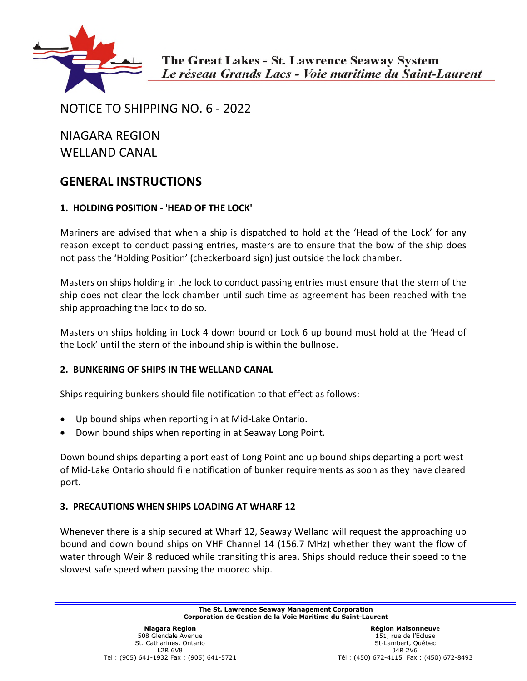

# NOTICE TO SHIPPING NO. 6 - 2022

NIAGARA REGION WELLAND CANAL

# **GENERAL INSTRUCTIONS**

# **1. HOLDING POSITION - 'HEAD OF THE LOCK'**

Mariners are advised that when a ship is dispatched to hold at the 'Head of the Lock' for any reason except to conduct passing entries, masters are to ensure that the bow of the ship does not pass the 'Holding Position' (checkerboard sign) just outside the lock chamber.

Masters on ships holding in the lock to conduct passing entries must ensure that the stern of the ship does not clear the lock chamber until such time as agreement has been reached with the ship approaching the lock to do so.

Masters on ships holding in Lock 4 down bound or Lock 6 up bound must hold at the 'Head of the Lock' until the stern of the inbound ship is within the bullnose.

# **2. BUNKERING OF SHIPS IN THE WELLAND CANAL**

Ships requiring bunkers should file notification to that effect as follows:

- Up bound ships when reporting in at Mid-Lake Ontario.
- Down bound ships when reporting in at Seaway Long Point.

Down bound ships departing a port east of Long Point and up bound ships departing a port west of Mid-Lake Ontario should file notification of bunker requirements as soon as they have cleared port.

# **3. PRECAUTIONS WHEN SHIPS LOADING AT WHARF 12**

Whenever there is a ship secured at Wharf 12, Seaway Welland will request the approaching up bound and down bound ships on VHF Channel 14 (156.7 MHz) whether they want the flow of water through Weir 8 reduced while transiting this area. Ships should reduce their speed to the slowest safe speed when passing the moored ship.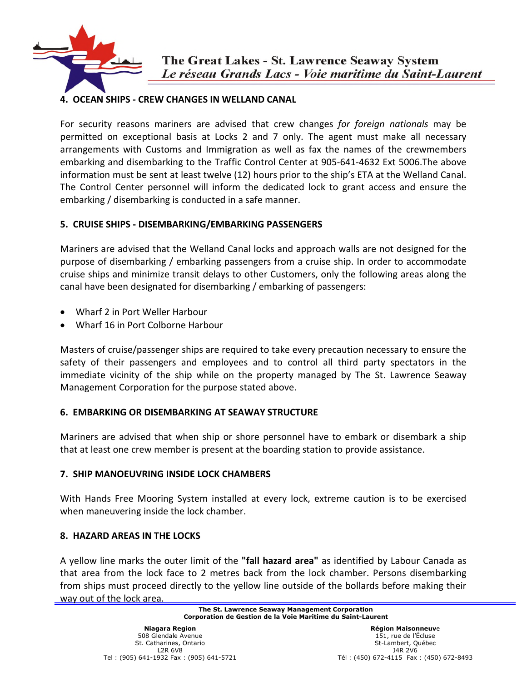

# **4. OCEAN SHIPS - CREW CHANGES IN WELLAND CANAL**

For security reasons mariners are advised that crew changes *for foreign nationals* may be permitted on exceptional basis at Locks 2 and 7 only. The agent must make all necessary arrangements with Customs and Immigration as well as fax the names of the crewmembers embarking and disembarking to the Traffic Control Center at 905-641-4632 Ext 5006.The above information must be sent at least twelve (12) hours prior to the ship's ETA at the Welland Canal. The Control Center personnel will inform the dedicated lock to grant access and ensure the embarking / disembarking is conducted in a safe manner.

# **5. CRUISE SHIPS - DISEMBARKING/EMBARKING PASSENGERS**

Mariners are advised that the Welland Canal locks and approach walls are not designed for the purpose of disembarking / embarking passengers from a cruise ship. In order to accommodate cruise ships and minimize transit delays to other Customers, only the following areas along the canal have been designated for disembarking / embarking of passengers:

- Wharf 2 in Port Weller Harbour
- Wharf 16 in Port Colborne Harbour

Masters of cruise/passenger ships are required to take every precaution necessary to ensure the safety of their passengers and employees and to control all third party spectators in the immediate vicinity of the ship while on the property managed by The St. Lawrence Seaway Management Corporation for the purpose stated above.

# **6. EMBARKING OR DISEMBARKING AT SEAWAY STRUCTURE**

Mariners are advised that when ship or shore personnel have to embark or disembark a ship that at least one crew member is present at the boarding station to provide assistance.

# **7. SHIP MANOEUVRING INSIDE LOCK CHAMBERS**

With Hands Free Mooring System installed at every lock, extreme caution is to be exercised when maneuvering inside the lock chamber.

# **8. HAZARD AREAS IN THE LOCKS**

A yellow line marks the outer limit of the **"fall hazard area"** as identified by Labour Canada as that area from the lock face to 2 metres back from the lock chamber. Persons disembarking from ships must proceed directly to the yellow line outside of the bollards before making their way out of the lock area.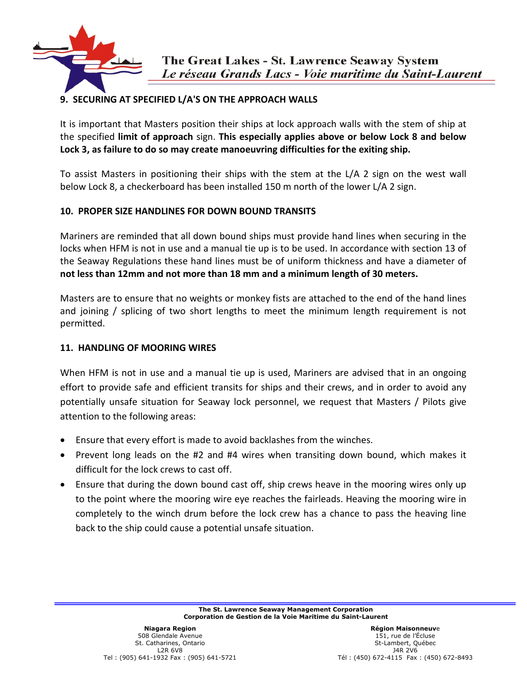

# **9. SECURING AT SPECIFIED L/A'S ON THE APPROACH WALLS**

It is important that Masters position their ships at lock approach walls with the stem of ship at the specified **limit of approach** sign. **This especially applies above or below Lock 8 and below Lock 3, as failure to do so may create manoeuvring difficulties for the exiting ship.** 

To assist Masters in positioning their ships with the stem at the L/A 2 sign on the west wall below Lock 8, a checkerboard has been installed 150 m north of the lower L/A 2 sign.

### **10. PROPER SIZE HANDLINES FOR DOWN BOUND TRANSITS**

Mariners are reminded that all down bound ships must provide hand lines when securing in the locks when HFM is not in use and a manual tie up is to be used. In accordance with section 13 of the Seaway Regulations these hand lines must be of uniform thickness and have a diameter of **not less than 12mm and not more than 18 mm and a minimum length of 30 meters.** 

Masters are to ensure that no weights or monkey fists are attached to the end of the hand lines and joining / splicing of two short lengths to meet the minimum length requirement is not permitted.

### **11. HANDLING OF MOORING WIRES**

When HFM is not in use and a manual tie up is used, Mariners are advised that in an ongoing effort to provide safe and efficient transits for ships and their crews, and in order to avoid any potentially unsafe situation for Seaway lock personnel, we request that Masters / Pilots give attention to the following areas:

- Ensure that every effort is made to avoid backlashes from the winches.
- Prevent long leads on the #2 and #4 wires when transiting down bound, which makes it difficult for the lock crews to cast off.
- Ensure that during the down bound cast off, ship crews heave in the mooring wires only up to the point where the mooring wire eye reaches the fairleads. Heaving the mooring wire in completely to the winch drum before the lock crew has a chance to pass the heaving line back to the ship could cause a potential unsafe situation.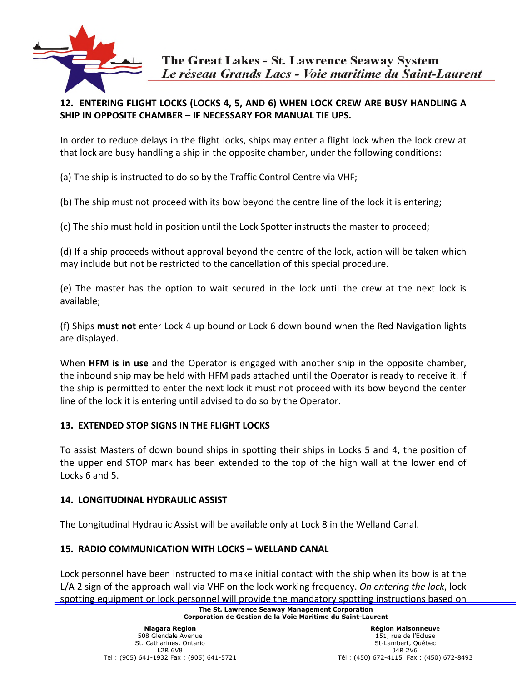

# **12. ENTERING FLIGHT LOCKS (LOCKS 4, 5, AND 6) WHEN LOCK CREW ARE BUSY HANDLING A SHIP IN OPPOSITE CHAMBER – IF NECESSARY FOR MANUAL TIE UPS.**

In order to reduce delays in the flight locks, ships may enter a flight lock when the lock crew at that lock are busy handling a ship in the opposite chamber, under the following conditions:

(a) The ship is instructed to do so by the Traffic Control Centre via VHF;

(b) The ship must not proceed with its bow beyond the centre line of the lock it is entering;

(c) The ship must hold in position until the Lock Spotter instructs the master to proceed;

(d) If a ship proceeds without approval beyond the centre of the lock, action will be taken which may include but not be restricted to the cancellation of this special procedure.

(e) The master has the option to wait secured in the lock until the crew at the next lock is available;

(f) Ships **must not** enter Lock 4 up bound or Lock 6 down bound when the Red Navigation lights are displayed.

When **HFM is in use** and the Operator is engaged with another ship in the opposite chamber, the inbound ship may be held with HFM pads attached until the Operator is ready to receive it. If the ship is permitted to enter the next lock it must not proceed with its bow beyond the center line of the lock it is entering until advised to do so by the Operator.

# **13. EXTENDED STOP SIGNS IN THE FLIGHT LOCKS**

To assist Masters of down bound ships in spotting their ships in Locks 5 and 4, the position of the upper end STOP mark has been extended to the top of the high wall at the lower end of Locks 6 and 5.

# **14. LONGITUDINAL HYDRAULIC ASSIST**

The Longitudinal Hydraulic Assist will be available only at Lock 8 in the Welland Canal.

# **15. RADIO COMMUNICATION WITH LOCKS – WELLAND CANAL**

Lock personnel have been instructed to make initial contact with the ship when its bow is at the L/A 2 sign of the approach wall via VHF on the lock working frequency. *On entering the lock*, lock spotting equipment or lock personnel will provide the mandatory spotting instructions based on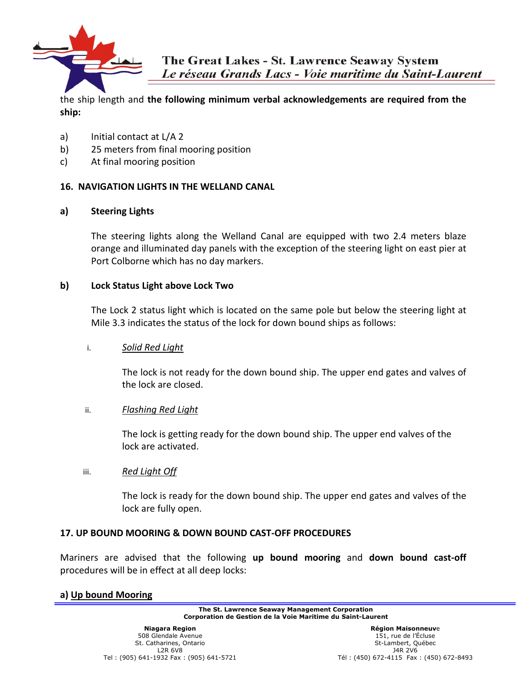

the ship length and **the following minimum verbal acknowledgements are required from the ship:** 

- a) Initial contact at L/A 2
- b) 25 meters from final mooring position
- c) At final mooring position

### **16. NAVIGATION LIGHTS IN THE WELLAND CANAL**

### **a) Steering Lights**

The steering lights along the Welland Canal are equipped with two 2.4 meters blaze orange and illuminated day panels with the exception of the steering light on east pier at Port Colborne which has no day markers.

#### **b) Lock Status Light above Lock Two**

The Lock 2 status light which is located on the same pole but below the steering light at Mile 3.3 indicates the status of the lock for down bound ships as follows:

### i. *Solid Red Light*

The lock is not ready for the down bound ship. The upper end gates and valves of the lock are closed.

### ii. *Flashing Red Light*

The lock is getting ready for the down bound ship. The upper end valves of the lock are activated.

### iii. *Red Light Off*

The lock is ready for the down bound ship. The upper end gates and valves of the lock are fully open.

#### **17. UP BOUND MOORING & DOWN BOUND CAST-OFF PROCEDURES**

Mariners are advised that the following **up bound mooring** and **down bound cast-off**  procedures will be in effect at all deep locks:

### **a) Up bound Mooring**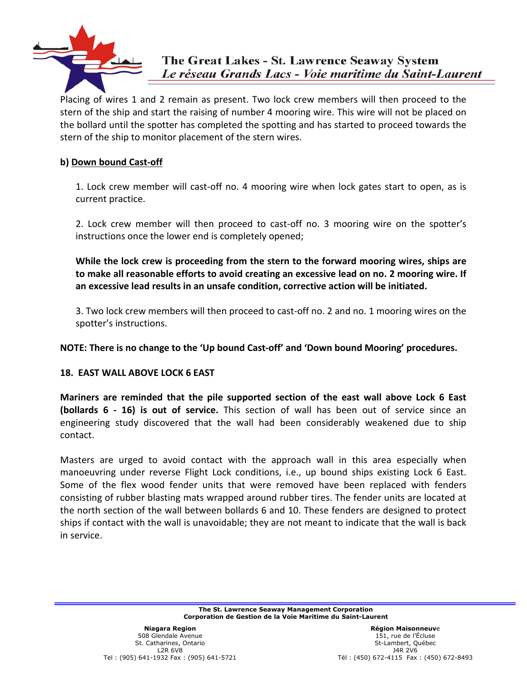

Placing of wires 1 and 2 remain as present. Two lock crew members will then proceed to the stern of the ship and start the raising of number 4 mooring wire. This wire will not be placed on the bollard until the spotter has completed the spotting and has started to proceed towards the stern of the ship to monitor placement of the stern wires.

### **b) Down bound Cast-off**

1. Lock crew member will cast-off no. 4 mooring wire when lock gates start to open, as is current practice.

2. Lock crew member will then proceed to cast-off no. 3 mooring wire on the spotter's instructions once the lower end is completely opened;

**While the lock crew is proceeding from the stern to the forward mooring wires, ships are to make all reasonable efforts to avoid creating an excessive lead on no. 2 mooring wire. If an excessive lead results in an unsafe condition, corrective action will be initiated.**

3. Two lock crew members will then proceed to cast-off no. 2 and no. 1 mooring wires on the spotter's instructions.

**NOTE: There is no change to the 'Up bound Cast-off' and 'Down bound Mooring' procedures.** 

### **18. EAST WALL ABOVE LOCK 6 EAST**

**Mariners are reminded that the pile supported section of the east wall above Lock 6 East (bollards 6 - 16) is out of service.** This section of wall has been out of service since an engineering study discovered that the wall had been considerably weakened due to ship contact.

Masters are urged to avoid contact with the approach wall in this area especially when manoeuvring under reverse Flight Lock conditions, i.e., up bound ships existing Lock 6 East. Some of the flex wood fender units that were removed have been replaced with fenders consisting of rubber blasting mats wrapped around rubber tires. The fender units are located at the north section of the wall between bollards 6 and 10. These fenders are designed to protect ships if contact with the wall is unavoidable; they are not meant to indicate that the wall is back in service.

> **The St. Lawrence Seaway Management Corporation Corporation de Gestion de la Voie Maritime du Saint-Laurent**

**Région Maisonneuv**e 151, rue de l'Écluse St-Lambert, Québec J4R 2V6 Tél : (450) 672-4115 Fax : (450) 672-8493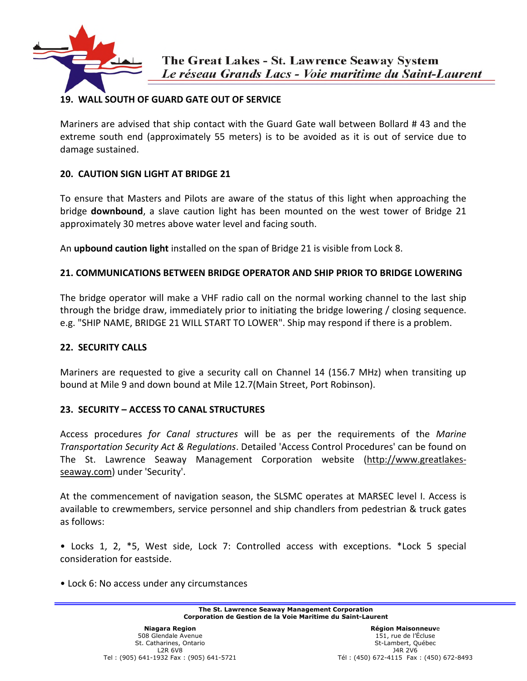

# **19. WALL SOUTH OF GUARD GATE OUT OF SERVICE**

Mariners are advised that ship contact with the Guard Gate wall between Bollard # 43 and the extreme south end (approximately 55 meters) is to be avoided as it is out of service due to damage sustained.

### **20. CAUTION SIGN LIGHT AT BRIDGE 21**

To ensure that Masters and Pilots are aware of the status of this light when approaching the bridge **downbound**, a slave caution light has been mounted on the west tower of Bridge 21 approximately 30 metres above water level and facing south.

An **upbound caution light** installed on the span of Bridge 21 is visible from Lock 8.

### **21. COMMUNICATIONS BETWEEN BRIDGE OPERATOR AND SHIP PRIOR TO BRIDGE LOWERING**

The bridge operator will make a VHF radio call on the normal working channel to the last ship through the bridge draw, immediately prior to initiating the bridge lowering / closing sequence. e.g. "SHIP NAME, BRIDGE 21 WILL START TO LOWER". Ship may respond if there is a problem.

### **22. SECURITY CALLS**

Mariners are requested to give a security call on Channel 14 (156.7 MHz) when transiting up bound at Mile 9 and down bound at Mile 12.7(Main Street, Port Robinson).

# **23. SECURITY – ACCESS TO CANAL STRUCTURES**

Access procedures *for Canal structures* will be as per the requirements of the *Marine Transportation Security Act & Regulations*. Detailed 'Access Control Procedures' can be found on The St. Lawrence Seaway Management Corporation website (http://www.greatlakesseaway.com) under 'Security'.

At the commencement of navigation season, the SLSMC operates at MARSEC level I. Access is available to crewmembers, service personnel and ship chandlers from pedestrian & truck gates as follows:

• Locks 1, 2, \*5, West side, Lock 7: Controlled access with exceptions. \*Lock 5 special consideration for eastside.

• Lock 6: No access under any circumstances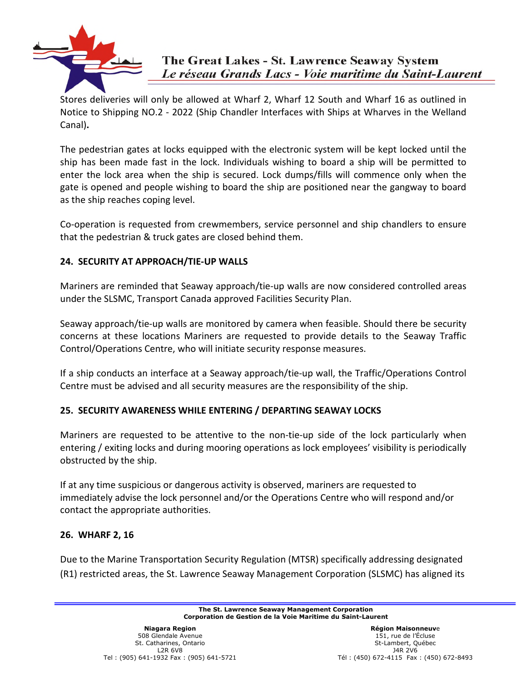

Stores deliveries will only be allowed at Wharf 2, Wharf 12 South and Wharf 16 as outlined in Notice to Shipping NO.2 - 2022 (Ship Chandler Interfaces with Ships at Wharves in the Welland Canal)**.**

The pedestrian gates at locks equipped with the electronic system will be kept locked until the ship has been made fast in the lock. Individuals wishing to board a ship will be permitted to enter the lock area when the ship is secured. Lock dumps/fills will commence only when the gate is opened and people wishing to board the ship are positioned near the gangway to board as the ship reaches coping level.

Co-operation is requested from crewmembers, service personnel and ship chandlers to ensure that the pedestrian & truck gates are closed behind them.

# **24. SECURITY AT APPROACH/TIE-UP WALLS**

Mariners are reminded that Seaway approach/tie-up walls are now considered controlled areas under the SLSMC, Transport Canada approved Facilities Security Plan.

Seaway approach/tie-up walls are monitored by camera when feasible. Should there be security concerns at these locations Mariners are requested to provide details to the Seaway Traffic Control/Operations Centre, who will initiate security response measures.

If a ship conducts an interface at a Seaway approach/tie-up wall, the Traffic/Operations Control Centre must be advised and all security measures are the responsibility of the ship.

# **25. SECURITY AWARENESS WHILE ENTERING / DEPARTING SEAWAY LOCKS**

Mariners are requested to be attentive to the non-tie-up side of the lock particularly when entering / exiting locks and during mooring operations as lock employees' visibility is periodically obstructed by the ship.

If at any time suspicious or dangerous activity is observed, mariners are requested to immediately advise the lock personnel and/or the Operations Centre who will respond and/or contact the appropriate authorities.

# **26. WHARF 2, 16**

Due to the Marine Transportation Security Regulation (MTSR) specifically addressing designated (R1) restricted areas, the St. Lawrence Seaway Management Corporation (SLSMC) has aligned its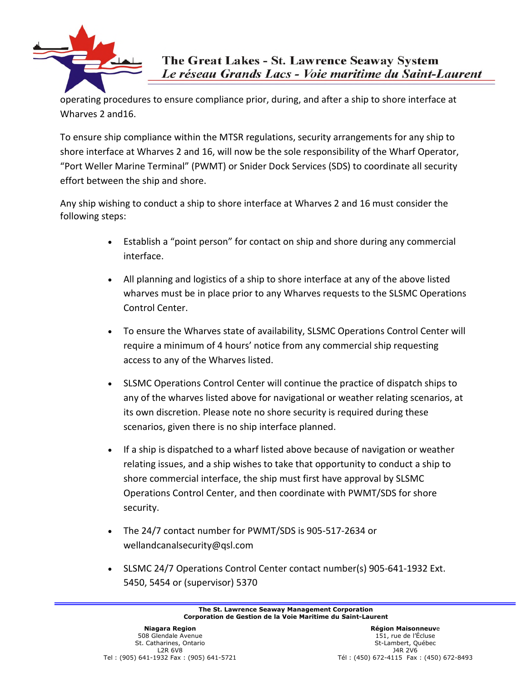

operating procedures to ensure compliance prior, during, and after a ship to shore interface at Wharves 2 and16.

To ensure ship compliance within the MTSR regulations, security arrangements for any ship to shore interface at Wharves 2 and 16, will now be the sole responsibility of the Wharf Operator, "Port Weller Marine Terminal" (PWMT) or Snider Dock Services (SDS) to coordinate all security effort between the ship and shore.

Any ship wishing to conduct a ship to shore interface at Wharves 2 and 16 must consider the following steps:

- Establish a "point person" for contact on ship and shore during any commercial interface.
- All planning and logistics of a ship to shore interface at any of the above listed wharves must be in place prior to any Wharves requests to the SLSMC Operations Control Center.
- To ensure the Wharves state of availability, SLSMC Operations Control Center will require a minimum of 4 hours' notice from any commercial ship requesting access to any of the Wharves listed.
- SLSMC Operations Control Center will continue the practice of dispatch ships to any of the wharves listed above for navigational or weather relating scenarios, at its own discretion. Please note no shore security is required during these scenarios, given there is no ship interface planned.
- If a ship is dispatched to a wharf listed above because of navigation or weather relating issues, and a ship wishes to take that opportunity to conduct a ship to shore commercial interface, the ship must first have approval by SLSMC Operations Control Center, and then coordinate with PWMT/SDS for shore security.
- The 24/7 contact number for PWMT/SDS is 905-517-2634 or wellandcanalsecurity@qsl.com
- SLSMC 24/7 Operations Control Center contact number(s) 905-641-1932 Ext. 5450, 5454 or (supervisor) 5370